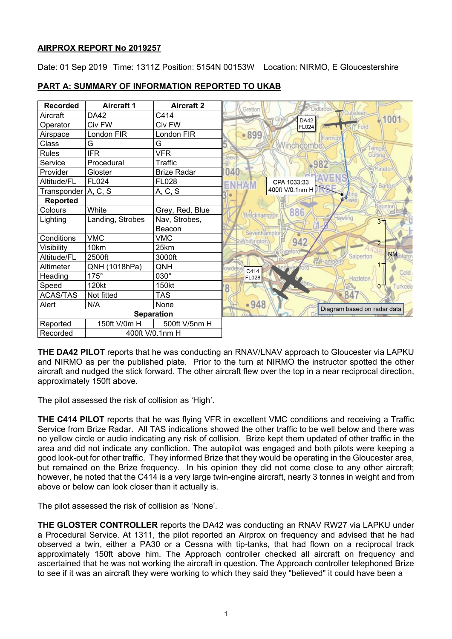# **AIRPROX REPORT No 2019257**

Date: 01 Sep 2019 Time: 1311Z Position: 5154N 00153W Location: NIRMO, E Gloucestershire



# **PART A: SUMMARY OF INFORMATION REPORTED TO UKAB**

**THE DA42 PILOT** reports that he was conducting an RNAV/LNAV approach to Gloucester via LAPKU and NIRMO as per the published plate. Prior to the turn at NIRMO the instructor spotted the other aircraft and nudged the stick forward. The other aircraft flew over the top in a near reciprocal direction, approximately 150ft above.

The pilot assessed the risk of collision as 'High'.

**THE C414 PILOT** reports that he was flying VFR in excellent VMC conditions and receiving a Traffic Service from Brize Radar. All TAS indications showed the other traffic to be well below and there was no yellow circle or audio indicating any risk of collision. Brize kept them updated of other traffic in the area and did not indicate any confliction. The autopilot was engaged and both pilots were keeping a good look-out for other traffic. They informed Brize that they would be operating in the Gloucester area, but remained on the Brize frequency. In his opinion they did not come close to any other aircraft; however, he noted that the C414 is a very large twin-engine aircraft, nearly 3 tonnes in weight and from above or below can look closer than it actually is.

The pilot assessed the risk of collision as 'None'.

**THE GLOSTER CONTROLLER** reports the DA42 was conducting an RNAV RW27 via LAPKU under a Procedural Service. At 1311, the pilot reported an Airprox on frequency and advised that he had observed a twin, either a PA30 or a Cessna with tip-tanks, that had flown on a reciprocal track approximately 150ft above him. The Approach controller checked all aircraft on frequency and ascertained that he was not working the aircraft in question. The Approach controller telephoned Brize to see if it was an aircraft they were working to which they said they "believed" it could have been a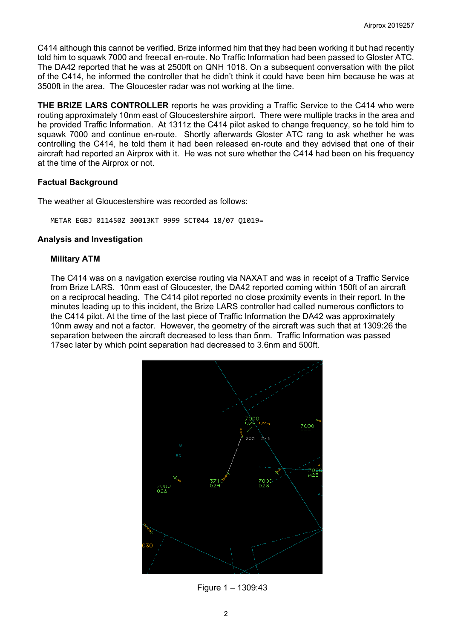C414 although this cannot be verified. Brize informed him that they had been working it but had recently told him to squawk 7000 and freecall en-route. No Traffic Information had been passed to Gloster ATC. The DA42 reported that he was at 2500ft on QNH 1018. On a subsequent conversation with the pilot of the C414, he informed the controller that he didn't think it could have been him because he was at 3500ft in the area. The Gloucester radar was not working at the time.

**THE BRIZE LARS CONTROLLER** reports he was providing a Traffic Service to the C414 who were routing approximately 10nm east of Gloucestershire airport. There were multiple tracks in the area and he provided Traffic Information. At 1311z the C414 pilot asked to change frequency, so he told him to squawk 7000 and continue en-route. Shortly afterwards Gloster ATC rang to ask whether he was controlling the C414, he told them it had been released en-route and they advised that one of their aircraft had reported an Airprox with it. He was not sure whether the C414 had been on his frequency at the time of the Airprox or not.

### **Factual Background**

The weather at Gloucestershire was recorded as follows:

METAR EGBJ 011450Z 30013KT 9999 SCT044 18/07 Q1019=

#### **Analysis and Investigation**

### **Military ATM**

The C414 was on a navigation exercise routing via NAXAT and was in receipt of a Traffic Service from Brize LARS. 10nm east of Gloucester, the DA42 reported coming within 150ft of an aircraft on a reciprocal heading. The C414 pilot reported no close proximity events in their report. In the minutes leading up to this incident, the Brize LARS controller had called numerous conflictors to the C414 pilot. At the time of the last piece of Traffic Information the DA42 was approximately 10nm away and not a factor. However, the geometry of the aircraft was such that at 1309:26 the separation between the aircraft decreased to less than 5nm. Traffic Information was passed 17sec later by which point separation had decreased to 3.6nm and 500ft.



Figure 1 – 1309:43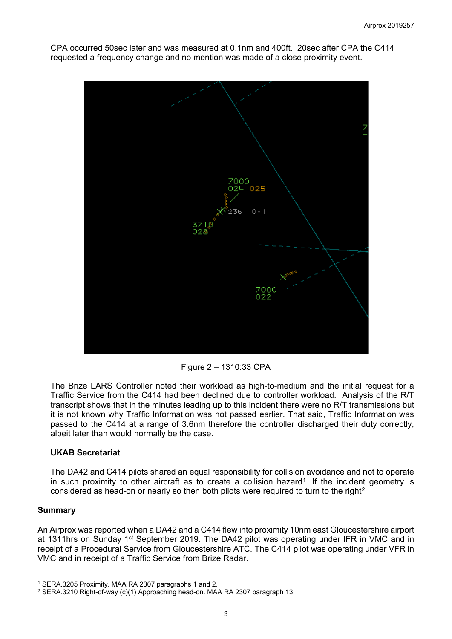

CPA occurred 50sec later and was measured at 0.1nm and 400ft. 20sec after CPA the C414 requested a frequency change and no mention was made of a close proximity event.

Figure 2 – 1310:33 CPA

The Brize LARS Controller noted their workload as high-to-medium and the initial request for a Traffic Service from the C414 had been declined due to controller workload. Analysis of the R/T transcript shows that in the minutes leading up to this incident there were no R/T transmissions but it is not known why Traffic Information was not passed earlier. That said, Traffic Information was passed to the C414 at a range of 3.6nm therefore the controller discharged their duty correctly, albeit later than would normally be the case.

## **UKAB Secretariat**

The DA42 and C414 pilots shared an equal responsibility for collision avoidance and not to operate in such proximity to other aircraft as to create a collision hazard<sup>[1](#page-2-0)</sup>. If the incident geometry is considered as head-on or nearly so then both pilots were required to turn to the right<sup>2</sup>.

#### **Summary**

 $\overline{\phantom{a}}$ 

An Airprox was reported when a DA42 and a C414 flew into proximity 10nm east Gloucestershire airport at 1311hrs on Sunday 1<sup>st</sup> September 2019. The DA42 pilot was operating under IFR in VMC and in receipt of a Procedural Service from Gloucestershire ATC. The C414 pilot was operating under VFR in VMC and in receipt of a Traffic Service from Brize Radar.

<span id="page-2-0"></span><sup>1</sup> SERA.3205 Proximity. MAA RA 2307 paragraphs 1 and 2.

<span id="page-2-1"></span><sup>2</sup> SERA.3210 Right-of-way (c)(1) Approaching head-on. MAA RA 2307 paragraph 13.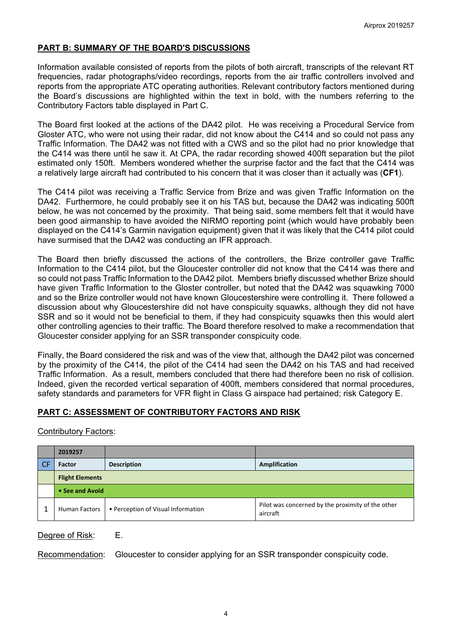# **PART B: SUMMARY OF THE BOARD'S DISCUSSIONS**

Information available consisted of reports from the pilots of both aircraft, transcripts of the relevant RT frequencies, radar photographs/video recordings, reports from the air traffic controllers involved and reports from the appropriate ATC operating authorities. Relevant contributory factors mentioned during the Board's discussions are highlighted within the text in bold, with the numbers referring to the Contributory Factors table displayed in Part C.

The Board first looked at the actions of the DA42 pilot. He was receiving a Procedural Service from Gloster ATC, who were not using their radar, did not know about the C414 and so could not pass any Traffic Information. The DA42 was not fitted with a CWS and so the pilot had no prior knowledge that the C414 was there until he saw it. At CPA, the radar recording showed 400ft separation but the pilot estimated only 150ft. Members wondered whether the surprise factor and the fact that the C414 was a relatively large aircraft had contributed to his concern that it was closer than it actually was (**CF1**).

The C414 pilot was receiving a Traffic Service from Brize and was given Traffic Information on the DA42. Furthermore, he could probably see it on his TAS but, because the DA42 was indicating 500ft below, he was not concerned by the proximity. That being said, some members felt that it would have been good airmanship to have avoided the NIRMO reporting point (which would have probably been displayed on the C414's Garmin navigation equipment) given that it was likely that the C414 pilot could have surmised that the DA42 was conducting an IFR approach.

The Board then briefly discussed the actions of the controllers, the Brize controller gave Traffic Information to the C414 pilot, but the Gloucester controller did not know that the C414 was there and so could not pass Traffic Information to the DA42 pilot. Members briefly discussed whether Brize should have given Traffic Information to the Gloster controller, but noted that the DA42 was squawking 7000 and so the Brize controller would not have known Gloucestershire were controlling it. There followed a discussion about why Gloucestershire did not have conspicuity squawks, although they did not have SSR and so it would not be beneficial to them, if they had conspicuity squawks then this would alert other controlling agencies to their traffic. The Board therefore resolved to make a recommendation that Gloucester consider applying for an SSR transponder conspicuity code.

Finally, the Board considered the risk and was of the view that, although the DA42 pilot was concerned by the proximity of the C414, the pilot of the C414 had seen the DA42 on his TAS and had received Traffic Information. As a result, members concluded that there had therefore been no risk of collision. Indeed, given the recorded vertical separation of 400ft, members considered that normal procedures, safety standards and parameters for VFR flight in Class G airspace had pertained; risk Category E.

## **PART C: ASSESSMENT OF CONTRIBUTORY FACTORS AND RISK**

#### Contributory Factors:

| 2019257                |                                    |                                                               |
|------------------------|------------------------------------|---------------------------------------------------------------|
| <b>Factor</b>          | <b>Description</b>                 | Amplification                                                 |
| <b>Flight Elements</b> |                                    |                                                               |
| • See and Avoid        |                                    |                                                               |
| Human Factors          | • Perception of Visual Information | Pilot was concerned by the proximity of the other<br>aircraft |

#### Degree of Risk: E.

Recommendation: Gloucester to consider applying for an SSR transponder conspicuity code.